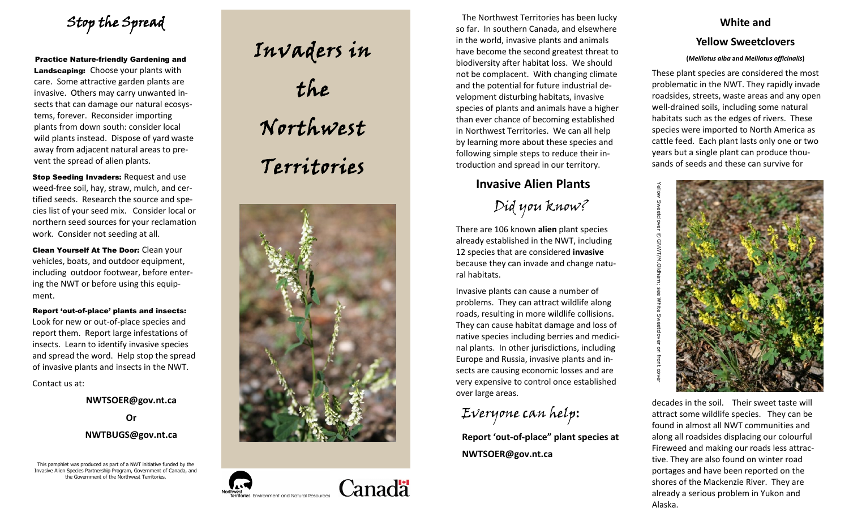Stop the Spread

Practice Nature -friendly Gardening and Landscaping: Choose your plants with care. Some attractive garden plants are invasive. Others may carry unwanted insects that can damage our natural ecosystems, forever. Reconsider importing plants from down south: consider local wild plants instead. Dispose of yard waste away from adjacent natural areas to prevent the spread of alien plants.

**Stop Seeding Invaders: Request and use** weed -free soil, hay, straw, mulch, and certified seeds. Research the source and species list of your seed mix. Consider local or northern seed sources for your reclamation work. Consider not seeding at all.

Clean Yourself At The Door: Clean your vehicles, boats, and outdoor equipment, including outdoor footwear, before entering the NWT or before using this equipment.

Report 'out -of-place' plants and insects: Look for new or out -of -place species and report them. Report large infestations of insects. Learn to identify invasive species and spread the word. Help stop the spread of invasive plants and insects in the NWT.

Contact us at:

### **NWTSOER@gov.nt.ca**

#### **Or NWTBUGS@gov.nt.ca**

This pamphlet was produced as part of a NWT initiative funded by the Invasive Alien Species Partnership Program, Government of Canada, and the Government of the Northwest Territories.







The Northwest Territories has been lucky so far. In southern Canada, and elsewhere in the world, invasive plants and animals have become the second greatest threat to biodiversity after habitat loss. We should not be complacent. With changing climate and the potential for future industrial development disturbing habitats, invasive species of plants and animals have a higher than ever chance of becoming established in Northwest Territories. We can all help by learning more about these species and following simple steps to reduce their introduction and spread in our territory.

## **Invasive Alien Plants**

Did you know?

There are 106 known **alien** plant species already established in the NWT, including 12 species that are considered **invasive** because they can invade and change natural habitats.

Invasive plants can cause a number of problems. They can attract wildlife along roads, resulting in more wildlife collisions. They can cause habitat damage and loss of native species including berries and medicinal plants. In other jurisdictions, including Europe and Russia, invasive plants and insects are causing economic losses and are very expensive to control once established over large areas.

# Everyone can help:

**Report 'out -of -place" plant species at NWTSOER@gov.nt.ca**

# **White and**

# **Yellow Sweetclovers**

#### **(***Melilotus alba* **and** *Melilotus officinalis* **)**

These plant species are considered the most problematic in the NWT. They rapidly invade roadsides, streets, waste areas and any open well -drained soils, including some natural habitats such as the edges of rivers. These species were imported to North America as cattle feed. Each plant lasts only one or two years but a single plant can produce thousands of seeds and these can survive for



Yellow Sweetclover  $\copyright$  GNWT/M.Oldham; see White Sweetclover on front cover

decades in the soil. Their sweet taste will attract some wildlife species. They can be found in almost all NWT communities and along all roadsides displacing our colourful Fireweed and making our roads less attractive. They are also found on winter road portages and have been reported on the shores of the Mackenzie River. They are already a serious problem in Yukon and Alaska.